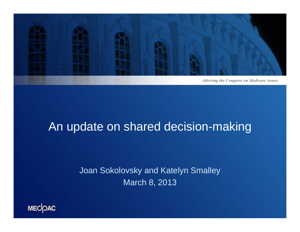

#### An update on shared decision-making

Joan Sokolovsky and Katelyn Smalley March 8, 2013

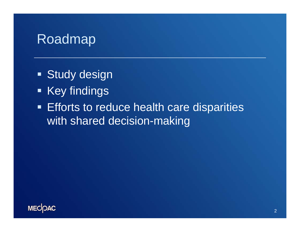#### Roadmap

- **Study design**
- **Key findings**
- **Efforts to reduce health care disparities** with shared decision-making

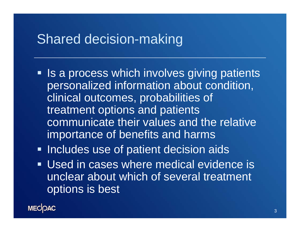### Shared decision-making

- **If a process which involves giving patients** personalized information about condition, clinical outcomes, probabilities of treatment options and patients communicate their values and the relative importance of benefits and harms
- **Includes use of patient decision aids**
- Used in cases where medical evidence is unclear about which of several treatment options is best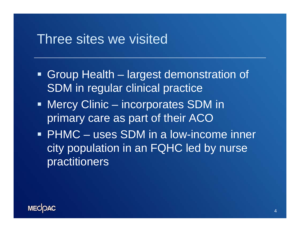### Three sites we visited

- Group Health largest demonstration of SDM in regular clinical practice
- Mercy Clinic incorporates SDM in primary care as part of their ACO
- PHMC uses SDM in a low-income inner city population in an FQHC led by nurse practitioners

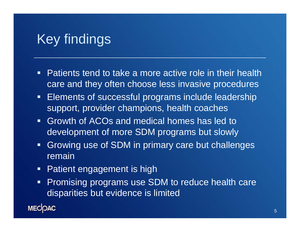## Key findings

- **Patients tend to take a more active role in their health** care and they often choose less invasive procedures
- $\blacksquare$  Elements of successful programs include leadership support, provider champions, health coaches
- Growth of ACOs and medical homes has led to development of more SDM programs but slowly
- $\blacksquare$  Growing use of SDM in primary care but challenges remain
- $\blacksquare$ Patient engagement is high
- $\blacksquare$  Promising programs use SDM to reduce health care disparities but evidence is limited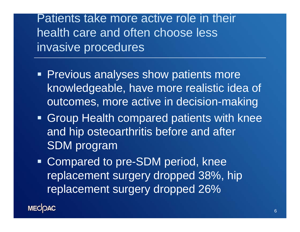Patients take more active role in their health care and often choose less invasive procedures

- **Previous analyses show patients more** knowledgeable, have more realistic idea of outcomes, more active in decision-making
- Group Health compared patients with knee and hip osteoarthritis before and after SDM program
- **Compared to pre-SDM period, knee** replacement surgery dropped 38%, hip replacement surgery dropped 26%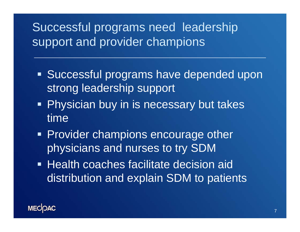## Successful programs need leadership support and provider champions

- **Successful programs have depended upon** strong leadership support
- **Physician buy in is necessary but takes** time
- **Provider champions encourage other** physicians and nurses to try SDM
- **Health coaches facilitate decision aid** distribution and explain SDM to patients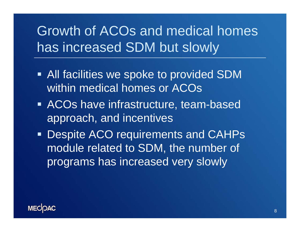# Growth of ACOs and medical homes has increased SDM but slowly

- **All facilities we spoke to provided SDM** within medical homes or ACOs
- **ACOs have infrastructure, team-based** approach, and incentives
- **Despite ACO requirements and CAHPs** module related to SDM, the number of programs has increased very slowly

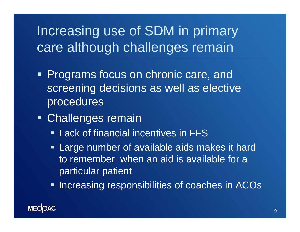# Increasing use of SDM in primary care although challenges remain

- **Programs focus on chronic care, and** screening decisions as well as elective procedures
- Challenges remain
	- **Example 1 Lack of financial incentives in FFS**
	- **Large number of available aids makes it hard** to remember when an aid is available for a particular patient
	- **Increasing responsibilities of coaches in ACOs**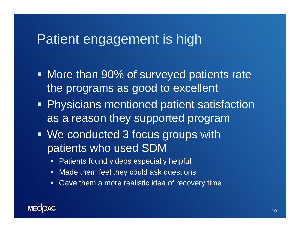### Patient engagement is high

- **More than 90% of surveyed patients rate** the programs as good to excellent
- **Physicians mentioned patient satisfaction** as a reason they supported program
- We conducted 3 focus groups with patients who used SDM
	- $\blacksquare$ Patients found videos especially helpful
	- $\blacksquare$  . Made them feel they could ask questions
	- $\blacksquare$ Gave them a more realistic idea of recovery time

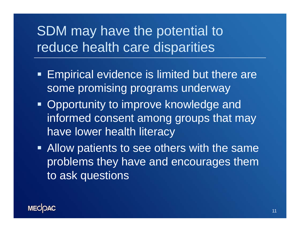## SDM may have the potential to reduce health care disparities

- **Empirical evidence is limited but there are** some promising programs underway
- **Opportunity to improve knowledge and** informed consent among groups that may have lower health literacy
- **Allow patients to see others with the same** problems they have and encourages them to ask questions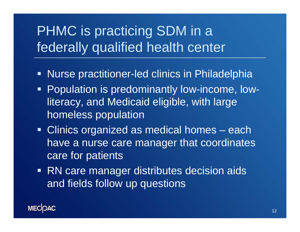# PHMC is practicing SDM in a federally qualified health center

- Ξ Nurse practitioner-led clinics in Philadelphia
- Population is predominantly low-income, lowliteracy, and Medicaid eligible, with large homeless population
- **Clinics organized as medical homes each** have a nurse care manager that coordinates care for patients
- **RN** care manager distributes decision aids and fields follow up questions

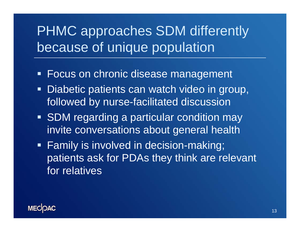# PHMC approaches SDM differently because of unique population

- Focus on chronic disease management
- Ξ Diabetic patients can watch video in group, followed by nurse-facilitated discussion
- **SDM regarding a particular condition may** invite conversations about general health
- Family is involved in decision-making; patients ask for PDAs they think are relevant for relatives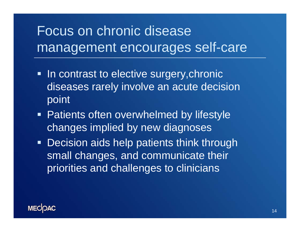# Focus on chronic disease management encourages self-care

- **In contrast to elective surgery, chronic** diseases rarely involve an acute decision point
- **Patients often overwhelmed by lifestyle** changes implied by new diagnoses
- **Decision aids help patients think through** small changes, and communicate their priorities and challenges to clinicians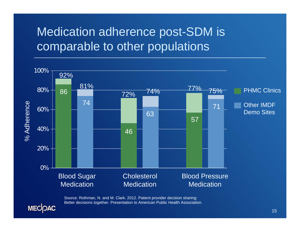### Medication adherence post-SDM is comparable to other populations



Source: Rothman, N. and M. Clark. 2012. Patient provider decision sharing: Better decisions together. Presentation to American Public Health Association.

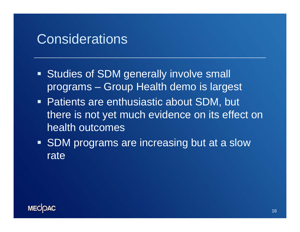### **Considerations**

- **Studies of SDM generally involve small** programs – Group Health demo is largest
- Patients are enthusiastic about SDM, but there is not yet much evidence on its effect on health outcomes
- **SDM** programs are increasing but at a slow rate

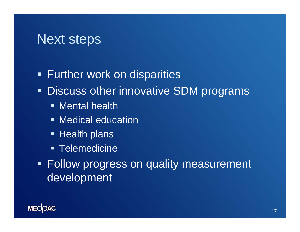### Next steps

**Further work on disparities** 

**- Discuss other innovative SDM programs** 

- **Mental health**
- **Medical education**
- **Example Health plans**
- **Telemedicine**
- **Follow progress on quality measurement** development